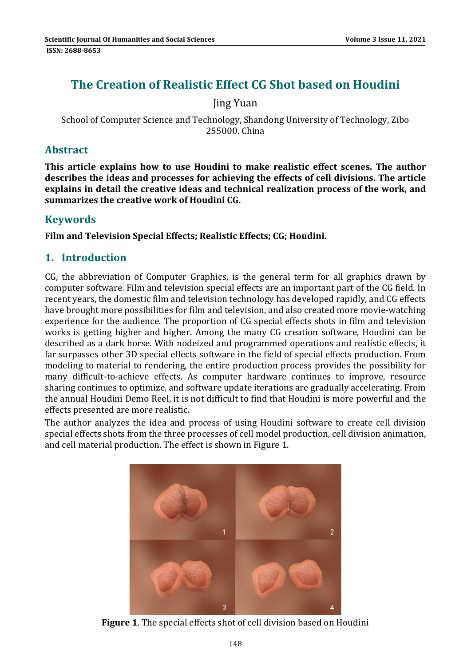# **The Creation of Realistic Effect CG Shot based on Houdini**

Jing Yuan 

School of Computer Science and Technology, Shandong University of Technology, Zibo 255000. China 

#### **Abstract**

**This article explains how to use Houdini to make realistic effect scenes. The author describes the ideas and processes for achieving the effects of cell divisions. The article explains in detail the creative ideas and technical realization process of the work, and summarizes the creative work of Houdini CG.**

#### **Keywords**

**Film and Television Special Effects; Realistic Effects; CG; Houdini.**

### **1. Introduction**

 $CG$ , the abbreviation of Computer Graphics, is the general term for all graphics drawn by computer software. Film and television special effects are an important part of the CG field. In recent years, the domestic film and television technology has developed rapidly, and CG effects have brought more possibilities for film and television, and also created more movie-watching experience for the audience. The proportion of CG special effects shots in film and television works is getting higher and higher. Among the many CG creation software, Houdini can be described as a dark horse. With nodeized and programmed operations and realistic effects, it far surpasses other 3D special effects software in the field of special effects production. From modeling to material to rendering, the entire production process provides the possibility for many difficult-to-achieve effects. As computer hardware continues to improve, resource sharing continues to optimize, and software update iterations are gradually accelerating. From the annual Houdini Demo Reel, it is not difficult to find that Houdini is more powerful and the effects presented are more realistic.

The author analyzes the idea and process of using Houdini software to create cell division special effects shots from the three processes of cell model production, cell division animation, and cell material production. The effect is shown in Figure 1.



**Figure 1.** The special effects shot of cell division based on Houdini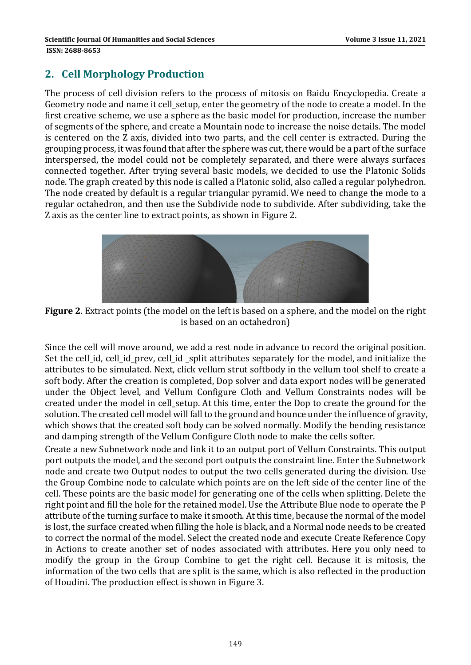# **2. Cell Morphology Production**

The process of cell division refers to the process of mitosis on Baidu Encyclopedia. Create a Geometry node and name it cell\_setup, enter the geometry of the node to create a model. In the first creative scheme, we use a sphere as the basic model for production, increase the number of segments of the sphere, and create a Mountain node to increase the noise details. The model is centered on the Z axis, divided into two parts, and the cell center is extracted. During the grouping process, it was found that after the sphere was cut, there would be a part of the surface interspersed, the model could not be completely separated, and there were always surfaces connected together. After trying several basic models, we decided to use the Platonic Solids node. The graph created by this node is called a Platonic solid, also called a regular polyhedron. The node created by default is a regular triangular pyramid. We need to change the mode to a regular octahedron, and then use the Subdivide node to subdivide. After subdividing, take the Z axis as the center line to extract points, as shown in Figure 2.



**Figure 2.** Extract points (the model on the left is based on a sphere, and the model on the right is based on an octahedron)

Since the cell will move around, we add a rest node in advance to record the original position. Set the cell id, cell id prev, cell id split attributes separately for the model, and initialize the attributes to be simulated. Next, click vellum strut softbody in the vellum tool shelf to create a soft body. After the creation is completed, Dop solver and data export nodes will be generated under the Object level, and Vellum Configure Cloth and Vellum Constraints nodes will be created under the model in cell setup. At this time, enter the Dop to create the ground for the solution. The created cell model will fall to the ground and bounce under the influence of gravity, which shows that the created soft body can be solved normally. Modify the bending resistance and damping strength of the Vellum Configure Cloth node to make the cells softer.

Create a new Subnetwork node and link it to an output port of Vellum Constraints. This output port outputs the model, and the second port outputs the constraint line. Enter the Subnetwork node and create two Output nodes to output the two cells generated during the division. Use the Group Combine node to calculate which points are on the left side of the center line of the cell. These points are the basic model for generating one of the cells when splitting. Delete the right point and fill the hole for the retained model. Use the Attribute Blue node to operate the P attribute of the turning surface to make it smooth. At this time, because the normal of the model is lost, the surface created when filling the hole is black, and a Normal node needs to be created to correct the normal of the model. Select the created node and execute Create Reference Copy in Actions to create another set of nodes associated with attributes. Here you only need to modify the group in the Group Combine to get the right cell. Because it is mitosis, the information of the two cells that are split is the same, which is also reflected in the production of Houdini. The production effect is shown in Figure 3.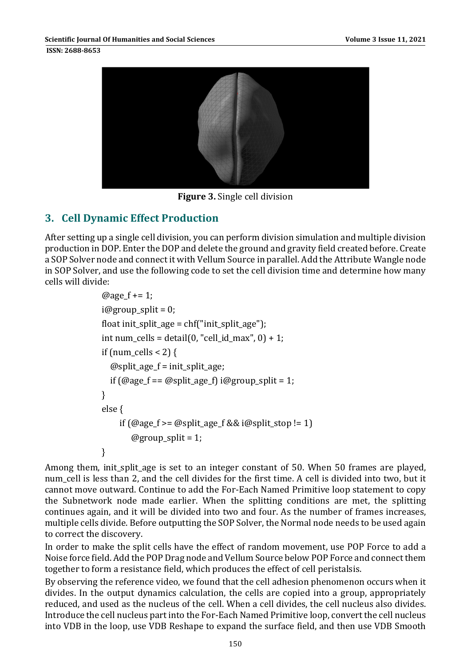**ISSN: 2688-8653** 



**Figure 3.** Single cell division

### **3. Cell Dynamic Effect Production**

After setting up a single cell division, you can perform division simulation and multiple division production in DOP. Enter the DOP and delete the ground and gravity field created before. Create a SOP Solver node and connect it with Vellum Source in parallel. Add the Attribute Wangle node in SOP Solver, and use the following code to set the cell division time and determine how many cells will divide:

```
@age_f += 1;i@group split = 0;
float init_split_age = chf("init_split_age");
int num_cells = detail(0, "cell_id_max", 0) + 1;if (num_cells < 2)\{@split_age_f = init_split_age;
  if (\text{@age}_f == \text{@split}_g = f) i@group_split = 1;
}	
else {
     if (\text{Qage}_f \geq \text{Qsplit}_g) and (\text{Qage}_f \geq \text{Qsplit}_g)@group_split = 1;}
```
Among them, init\_split\_age is set to an integer constant of 50. When 50 frames are played, num cell is less than 2, and the cell divides for the first time. A cell is divided into two, but it cannot move outward. Continue to add the For-Each Named Primitive loop statement to copy the Subnetwork node made earlier. When the splitting conditions are met, the splitting continues again, and it will be divided into two and four. As the number of frames increases, multiple cells divide. Before outputting the SOP Solver, the Normal node needs to be used again to correct the discovery.

In order to make the split cells have the effect of random movement, use POP Force to add a Noise force field. Add the POP Drag node and Vellum Source below POP Force and connect them together to form a resistance field, which produces the effect of cell peristalsis.

By observing the reference video, we found that the cell adhesion phenomenon occurs when it divides. In the output dynamics calculation, the cells are copied into a group, appropriately reduced, and used as the nucleus of the cell. When a cell divides, the cell nucleus also divides. Introduce the cell nucleus part into the For-Each Named Primitive loop, convert the cell nucleus into VDB in the loop, use VDB Reshape to expand the surface field, and then use VDB Smooth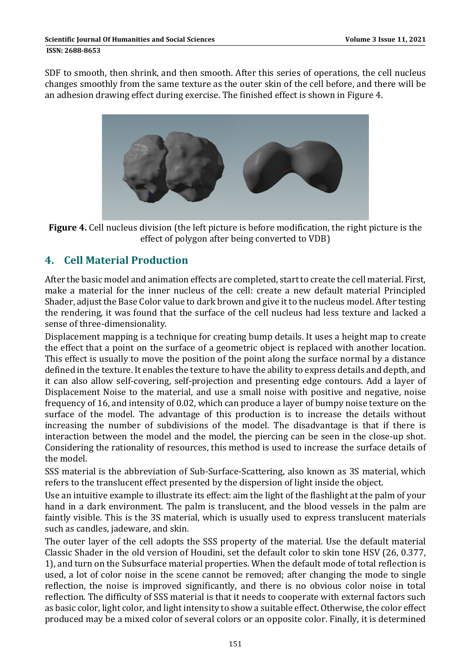SDF to smooth, then shrink, and then smooth. After this series of operations, the cell nucleus changes smoothly from the same texture as the outer skin of the cell before, and there will be an adhesion drawing effect during exercise. The finished effect is shown in Figure 4.



**Figure 4.** Cell nucleus division (the left picture is before modification, the right picture is the effect of polygon after being converted to VDB)

# **4. Cell Material Production**

After the basic model and animation effects are completed, start to create the cell material. First, make a material for the inner nucleus of the cell: create a new default material Principled Shader, adjust the Base Color value to dark brown and give it to the nucleus model. After testing the rendering, it was found that the surface of the cell nucleus had less texture and lacked a sense of three-dimensionality.

Displacement mapping is a technique for creating bump details. It uses a height map to create the effect that a point on the surface of a geometric object is replaced with another location. This effect is usually to move the position of the point along the surface normal by a distance defined in the texture. It enables the texture to have the ability to express details and depth, and it can also allow self-covering, self-projection and presenting edge contours. Add a layer of Displacement Noise to the material, and use a small noise with positive and negative, noise frequency of 16, and intensity of 0.02, which can produce a layer of bumpy noise texture on the surface of the model. The advantage of this production is to increase the details without increasing the number of subdivisions of the model. The disadvantage is that if there is interaction between the model and the model, the piercing can be seen in the close-up shot. Considering the rationality of resources, this method is used to increase the surface details of the model.

SSS material is the abbreviation of Sub-Surface-Scattering, also known as 3S material, which refers to the translucent effect presented by the dispersion of light inside the object.

Use an intuitive example to illustrate its effect: aim the light of the flashlight at the palm of your hand in a dark environment. The palm is translucent, and the blood vessels in the palm are faintly visible. This is the 3S material, which is usually used to express translucent materials such as candles, jadeware, and skin.

The outer layer of the cell adopts the SSS property of the material. Use the default material Classic Shader in the old version of Houdini, set the default color to skin tone HSV (26, 0.377, 1), and turn on the Subsurface material properties. When the default mode of total reflection is used, a lot of color noise in the scene cannot be removed; after changing the mode to single reflection, the noise is improved significantly, and there is no obvious color noise in total reflection. The difficulty of SSS material is that it needs to cooperate with external factors such as basic color, light color, and light intensity to show a suitable effect. Otherwise, the color effect produced may be a mixed color of several colors or an opposite color. Finally, it is determined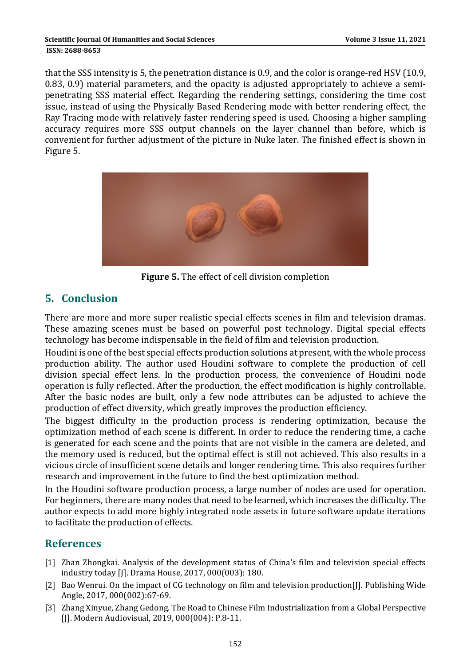that the SSS intensity is 5, the penetration distance is 0.9, and the color is orange-red HSV (10.9, 0.83, 0.9) material parameters, and the opacity is adjusted appropriately to achieve a semipenetrating SSS material effect. Regarding the rendering settings, considering the time cost issue, instead of using the Physically Based Rendering mode with better rendering effect, the Ray Tracing mode with relatively faster rendering speed is used. Choosing a higher sampling accuracy requires more SSS output channels on the layer channel than before, which is convenient for further adjustment of the picture in Nuke later. The finished effect is shown in Figure 5.



**Figure** 5. The effect of cell division completion

# **5. Conclusion**

There are more and more super realistic special effects scenes in film and television dramas. These amazing scenes must be based on powerful post technology. Digital special effects technology has become indispensable in the field of film and television production.

Houdini is one of the best special effects production solutions at present, with the whole process production ability. The author used Houdini software to complete the production of cell division special effect lens. In the production process, the convenience of Houdini node operation is fully reflected. After the production, the effect modification is highly controllable. After the basic nodes are built, only a few node attributes can be adjusted to achieve the production of effect diversity, which greatly improves the production efficiency.

The biggest difficulty in the production process is rendering optimization, because the optimization method of each scene is different. In order to reduce the rendering time, a cache is generated for each scene and the points that are not visible in the camera are deleted, and the memory used is reduced, but the optimal effect is still not achieved. This also results in a vicious circle of insufficient scene details and longer rendering time. This also requires further research and improvement in the future to find the best optimization method.

In the Houdini software production process, a large number of nodes are used for operation. For beginners, there are many nodes that need to be learned, which increases the difficulty. The author expects to add more highly integrated node assets in future software update iterations to facilitate the production of effects.

### **References**

- [1] Zhan Zhongkai. Analysis of the development status of China's film and television special effects industry today [J]. Drama House, 2017, 000(003): 180.
- [2] Bao Wenrui. On the impact of CG technology on film and television production[J]. Publishing Wide Angle, 2017, 000(002):67-69.
- [3] Zhang Xinyue, Zhang Gedong. The Road to Chinese Film Industrialization from a Global Perspective [J]. Modern Audiovisual, 2019, 000(004): P.8-11.